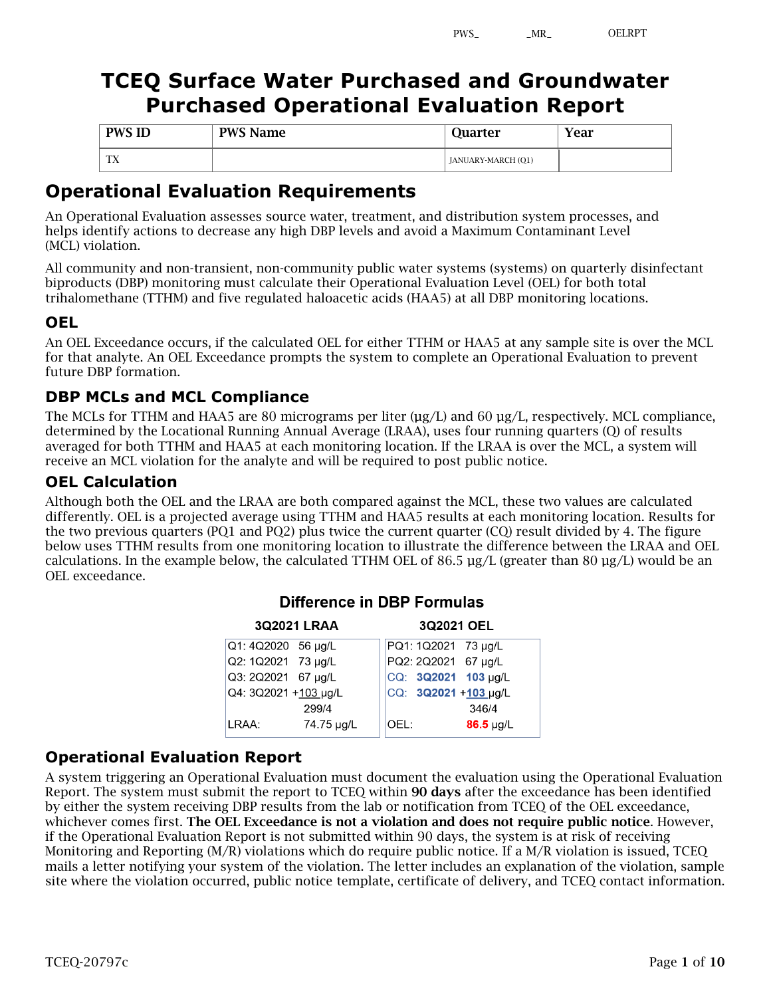# **TCEQ Surface Water Purchased and Groundwater Purchased Operational Evaluation Report**

| <b>PWS ID</b> | <b>PWS Name</b> | Ouarter            | Year |
|---------------|-----------------|--------------------|------|
| TTY.<br>T V   |                 | JANUARY-MARCH (Q1) |      |

## **Operational Evaluation Requirements**

An Operational Evaluation assesses source water, treatment, and distribution system processes, and helps identify actions to decrease any high DBP levels and avoid a Maximum Contaminant Level (MCL) violation.

All community and non-transient, non-community public water systems (systems) on quarterly disinfectant biproducts (DBP) monitoring must calculate their Operational Evaluation Level (OEL) for both total trihalomethane (TTHM) and five regulated haloacetic acids (HAA5) at all DBP monitoring locations.

## **OEL**

An OEL Exceedance occurs, if the calculated OEL for either TTHM or HAA5 at any sample site is over the MCL for that analyte. An OEL Exceedance prompts the system to complete an Operational Evaluation to prevent future DBP formation.

## **DBP MCLs and MCL Compliance**

The MCLs for TTHM and HAA5 are 80 micrograms per liter ( $\mu$ g/L) and 60  $\mu$ g/L, respectively. MCL compliance, determined by the Locational Running Annual Average (LRAA), uses four running quarters (Q) of results averaged for both TTHM and HAA5 at each monitoring location. If the LRAA is over the MCL, a system will receive an MCL violation for the analyte and will be required to post public notice.

### **OEL Calculation**

Although both the OEL and the LRAA are both compared against the MCL, these two values are calculated differently. OEL is a projected average using TTHM and HAA5 results at each monitoring location. Results for the two previous quarters (PQ1 and PQ2) plus twice the current quarter (CQ) result divided by 4. The figure below uses TTHM results from one monitoring location to illustrate the difference between the LRAA and OEL calculations. In the example below, the calculated TTHM OEL of 86.5 µg/L (greater than 80 µg/L) would be an OEL exceedance.

|                      | 3Q2021 LRAA |      | 3Q2021 OEL          |                      |
|----------------------|-------------|------|---------------------|----------------------|
| Q1: 4Q2020 56 µg/L   |             |      | PQ1: 1Q2021 73 µg/L |                      |
| Q2: 1Q2021 73 µg/L   |             |      | PQ2: 2Q2021 67 µg/L |                      |
| Q3: 2Q2021 67 µg/L   |             |      |                     | CQ: 3Q2021 103 µg/L  |
| Q4: 3Q2021 +103 µg/L |             |      |                     | CQ: 3Q2021 +103 µg/L |
|                      | 299/4       |      |                     | 346/4                |
| LRAA:                | 74.75 µg/L  | OEL: |                     | $86.5 \mu g/L$       |

### Difference in DBP Formulas

### **Operational Evaluation Report**

A system triggering an Operational Evaluation must document the evaluation using the Operational Evaluation Report. The system must submit the report to TCEQ within 90 days after the exceedance has been identified by either the system receiving DBP results from the lab or notification from TCEQ of the OEL exceedance, whichever comes first. The OEL Exceedance is not a violation and does not require public notice. However, if the Operational Evaluation Report is not submitted within 90 days, the system is at risk of receiving Monitoring and Reporting (M/R) violations which do require public notice. If a M/R violation is issued, TCEQ mails a letter notifying your system of the violation. The letter includes an explanation of the violation, sample site where the violation occurred, public notice template, certificate of delivery, and TCEQ contact information.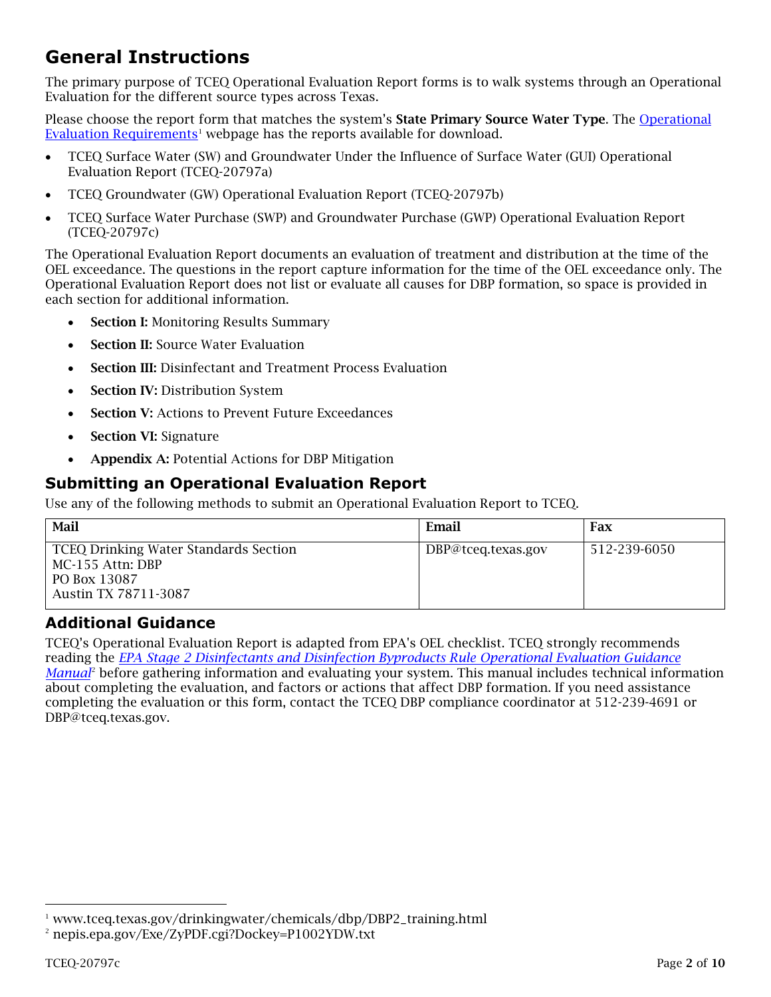# **General Instructions**

The primary purpose of TCEQ Operational Evaluation Report forms is to walk systems through an Operational Evaluation for the different source types across Texas.

Please choose the report form that matches the system's State Primary Source Water Type. The Operational Evaluation Requirements<sup>1</sup> webpage has the reports available for download.

- TCEQ Surface Water (SW) and Groundwater Under the Influence of Surface Water (GUI) Operational Evaluation Report (TCEQ-20797a)
- TCEQ Groundwater (GW) Operational Evaluation Report (TCEQ-20797b)
- TCEQ Surface Water Purchase (SWP) and Groundwater Purchase (GWP) Operational Evaluation Report (TCEQ-20797c)

The Operational Evaluation Report documents an evaluation of treatment and distribution at the time of the OEL exceedance. The questions in the report capture information for the time of the OEL exceedance only. The Operational Evaluation Report does not list or evaluate all causes for DBP formation, so space is provided in each section for additional information.

- **Section I: Monitoring Results Summary**
- **Section II:** Source Water Evaluation
- Section III: Disinfectant and Treatment Process Evaluation
- **Section IV: Distribution System**
- Section V: Actions to Prevent Future Exceedances
- **Section VI: Signature**
- Appendix A: Potential Actions for DBP Mitigation

### **Submitting an Operational Evaluation Report**

Use any of the following methods to submit an Operational Evaluation Report to TCEQ.

| Mail                                                                                                     | Email              | Fax          |
|----------------------------------------------------------------------------------------------------------|--------------------|--------------|
| <b>TCEQ Drinking Water Standards Section</b><br>MC-155 Attn: DBP<br>PO Box 13087<br>Austin TX 78711-3087 | DBP@tceq.texas.gov | 512-239-6050 |

### **Additional Guidance**

TCEQ's Operational Evaluation Report is adapted from EPA's OEL checklist. TCEQ strongly recommends reading the *EPA Stage 2 Disinfectants and Disinfection Byproducts Rule Operational Evaluation Guidance Manual*<sup>2</sup> before gathering information and evaluating your system. This manual includes technical information about completing the evaluation, and factors or actions that affect DBP formation. If you need assistance completing the evaluation or this form, contact the TCEQ DBP compliance coordinator at 512-239-4691 or DBP@tceq.texas.gov.

 $1$  www.tceq.texas.gov/drinkingwater/chemicals/dbp/DBP2\_training.html

<sup>2</sup> nepis.epa.gov/Exe/ZyPDF.cgi?Dockey=P1002YDW.txt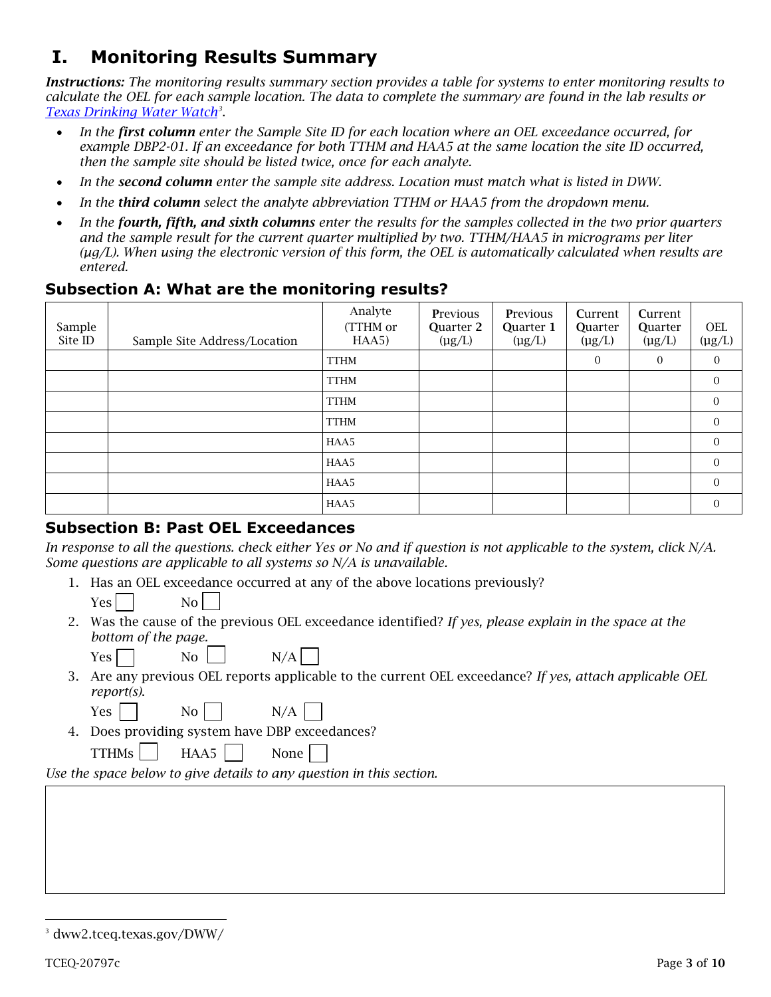# **I. Monitoring Results Summary**

*Instructions: The monitoring results summary section provides a table for systems to enter monitoring results to calculate the OEL for each sample location. The data to complete the summary are found in the lab results or Texas Drinking Water Watch3* .

- *In the first column enter the Sample Site ID for each location where an OEL exceedance occurred, for example DBP2-01. If an exceedance for both TTHM and HAA5 at the same location the site ID occurred, then the sample site should be listed twice, once for each analyte.*
- *In the second column enter the sample site address. Location must match what is listed in DWW.*
- *In the third column select the analyte abbreviation TTHM or HAA5 from the dropdown menu.*
- *In the fourth, fifth, and sixth columns enter the results for the samples collected in the two prior quarters and the sample result for the current quarter multiplied by two. TTHM/HAA5 in micrograms per liter (µg/L). When using the electronic version of this form, the OEL is automatically calculated when results are entered.*

#### **Subsection A: What are the monitoring results?**

| Sample<br>Site ID | Sample Site Address/Location | Analyte<br>(TTHM or<br>HAA5) | <b>Previous</b><br>Quarter 2<br>$(\mu g/L)$ | <b>Previous</b><br>Quarter 1<br>$(\mu g/L)$ | Current<br><b>Quarter</b><br>$(\mu g/L)$ | Current<br>Quarter<br>$(\mu g/L)$ | <b>OEL</b><br>$(\mu g/L)$ |
|-------------------|------------------------------|------------------------------|---------------------------------------------|---------------------------------------------|------------------------------------------|-----------------------------------|---------------------------|
|                   |                              | <b>TTHM</b>                  |                                             |                                             | 0                                        | $\overline{0}$                    | $\Omega$                  |
|                   |                              | <b>TTHM</b>                  |                                             |                                             |                                          |                                   | $\overline{0}$            |
|                   |                              | <b>TTHM</b>                  |                                             |                                             |                                          |                                   | $\overline{0}$            |
|                   |                              | <b>TTHM</b>                  |                                             |                                             |                                          |                                   | $\Omega$                  |
|                   |                              | HAA5                         |                                             |                                             |                                          |                                   | $\overline{0}$            |
|                   |                              | HAA5                         |                                             |                                             |                                          |                                   | $\Omega$                  |
|                   |                              | HAA5                         |                                             |                                             |                                          |                                   | $\Omega$                  |
|                   |                              | HAA5                         |                                             |                                             |                                          |                                   | $\Omega$                  |

#### **Subsection B: Past OEL Exceedances**

In response to all the questions. check either Yes or No and if question is not applicable to the *system, click N/A. Some questions are applicable to all systems so N/A is unavailable.*

1. Has an OEL exceedance occurred at any of the above locations previously?

Yes No

2. Was the cause of the previous OEL exceedance identified? *If yes, please explain in the space at the bottom of the page.*

| Yes $\lceil$ |  | No - |  | N/A |
|--------------|--|------|--|-----|
|--------------|--|------|--|-----|

3. Are any previous OEL reports applicable to the current OEL exceedance? *If yes, attach applicable OEL report(s)*.

| . .<br>۰, |  |
|-----------|--|

 $No$   $N/A$ 

4. Does providing system have DBP exceedances?

TTHMs | HAA5 | None

*Use the space below to give details to any question in this section.*

<sup>3</sup> dww2.tceq.texas.gov/DWW/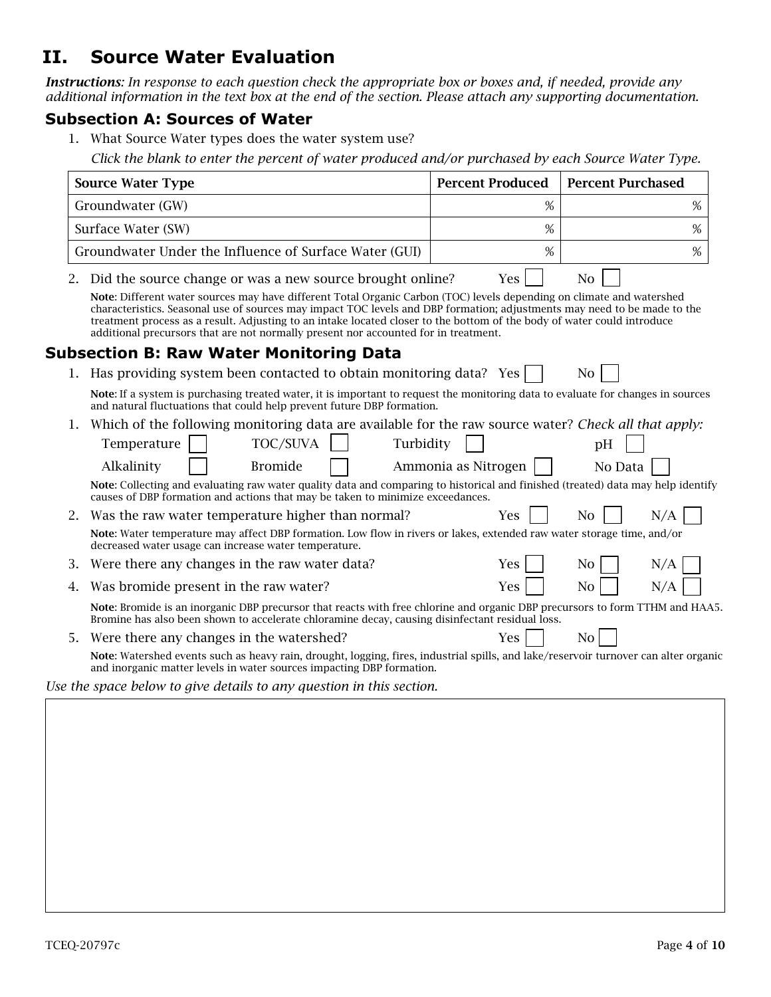## **II. Source Water Evaluation**

*Instructions: In response to each question check the appropriate box or boxes and, if needed, provide any additional information in the text box at the end of the section. Please attach any supporting documentation.*

#### **Subsection A: Sources of Water**

- 1. What Source Water types does the water system use?
	- *Click the blank to enter the percent of water produced and/or purchased by each Source Water Type.*

|    | <b>Source Water Type</b>                                                                                                                                                                                                                                                                                                                                                                                                                                            | <b>Percent Produced</b><br><b>Percent Purchased</b> |                       |  |  |  |  |  |  |  |
|----|---------------------------------------------------------------------------------------------------------------------------------------------------------------------------------------------------------------------------------------------------------------------------------------------------------------------------------------------------------------------------------------------------------------------------------------------------------------------|-----------------------------------------------------|-----------------------|--|--|--|--|--|--|--|
|    | Groundwater (GW)                                                                                                                                                                                                                                                                                                                                                                                                                                                    | %                                                   | %                     |  |  |  |  |  |  |  |
|    | Surface Water (SW)                                                                                                                                                                                                                                                                                                                                                                                                                                                  | %<br>%                                              |                       |  |  |  |  |  |  |  |
|    | Groundwater Under the Influence of Surface Water (GUI)                                                                                                                                                                                                                                                                                                                                                                                                              | %                                                   | %                     |  |  |  |  |  |  |  |
| 2. | Did the source change or was a new source brought online?                                                                                                                                                                                                                                                                                                                                                                                                           | <b>Yes</b>                                          | N <sub>0</sub>        |  |  |  |  |  |  |  |
|    | Note: Different water sources may have different Total Organic Carbon (TOC) levels depending on climate and watershed<br>characteristics. Seasonal use of sources may impact TOC levels and DBP formation; adjustments may need to be made to the<br>treatment process as a result. Adjusting to an intake located closer to the bottom of the body of water could introduce<br>additional precursors that are not normally present nor accounted for in treatment. |                                                     |                       |  |  |  |  |  |  |  |
|    | <b>Subsection B: Raw Water Monitoring Data</b>                                                                                                                                                                                                                                                                                                                                                                                                                      |                                                     |                       |  |  |  |  |  |  |  |
|    | Has providing system been contacted to obtain monitoring data? Yes                                                                                                                                                                                                                                                                                                                                                                                                  |                                                     | N <sub>0</sub>        |  |  |  |  |  |  |  |
|    | Note: If a system is purchasing treated water, it is important to request the monitoring data to evaluate for changes in sources<br>and natural fluctuations that could help prevent future DBP formation.                                                                                                                                                                                                                                                          |                                                     |                       |  |  |  |  |  |  |  |
| 1. | Which of the following monitoring data are available for the raw source water? Check all that apply:                                                                                                                                                                                                                                                                                                                                                                |                                                     |                       |  |  |  |  |  |  |  |
|    | TOC/SUVA<br>Turbidity<br>Temperature                                                                                                                                                                                                                                                                                                                                                                                                                                |                                                     | pH                    |  |  |  |  |  |  |  |
|    | Alkalinity<br><b>Bromide</b>                                                                                                                                                                                                                                                                                                                                                                                                                                        | Ammonia as Nitrogen                                 | No Data               |  |  |  |  |  |  |  |
|    | Note: Collecting and evaluating raw water quality data and comparing to historical and finished (treated) data may help identify<br>causes of DBP formation and actions that may be taken to minimize exceedances.                                                                                                                                                                                                                                                  |                                                     |                       |  |  |  |  |  |  |  |
| 2. | Was the raw water temperature higher than normal?                                                                                                                                                                                                                                                                                                                                                                                                                   | Yes                                                 | N/A<br>N <sub>o</sub> |  |  |  |  |  |  |  |
|    | Note: Water temperature may affect DBP formation. Low flow in rivers or lakes, extended raw water storage time, and/or<br>decreased water usage can increase water temperature.                                                                                                                                                                                                                                                                                     |                                                     |                       |  |  |  |  |  |  |  |
| 3. | Were there any changes in the raw water data?                                                                                                                                                                                                                                                                                                                                                                                                                       | Yes                                                 | N <sub>o</sub><br>N/A |  |  |  |  |  |  |  |
| 4. | Was bromide present in the raw water?                                                                                                                                                                                                                                                                                                                                                                                                                               | Yes                                                 | N <sub>0</sub><br>N/A |  |  |  |  |  |  |  |
|    | Note: Bromide is an inorganic DBP precursor that reacts with free chlorine and organic DBP precursors to form TTHM and HAA5.<br>Bromine has also been shown to accelerate chloramine decay, causing disinfectant residual loss.                                                                                                                                                                                                                                     |                                                     |                       |  |  |  |  |  |  |  |
| 5. | Were there any changes in the watershed?                                                                                                                                                                                                                                                                                                                                                                                                                            | Yes                                                 | N <sub>0</sub>        |  |  |  |  |  |  |  |
|    | Note: Watershed events such as heavy rain, drought, logging, fires, industrial spills, and lake/reservoir turnover can alter organic<br>and inorganic matter levels in water sources impacting DBP formation.                                                                                                                                                                                                                                                       |                                                     |                       |  |  |  |  |  |  |  |
|    | Use the space below to give details to any question in this section.                                                                                                                                                                                                                                                                                                                                                                                                |                                                     |                       |  |  |  |  |  |  |  |
|    |                                                                                                                                                                                                                                                                                                                                                                                                                                                                     |                                                     |                       |  |  |  |  |  |  |  |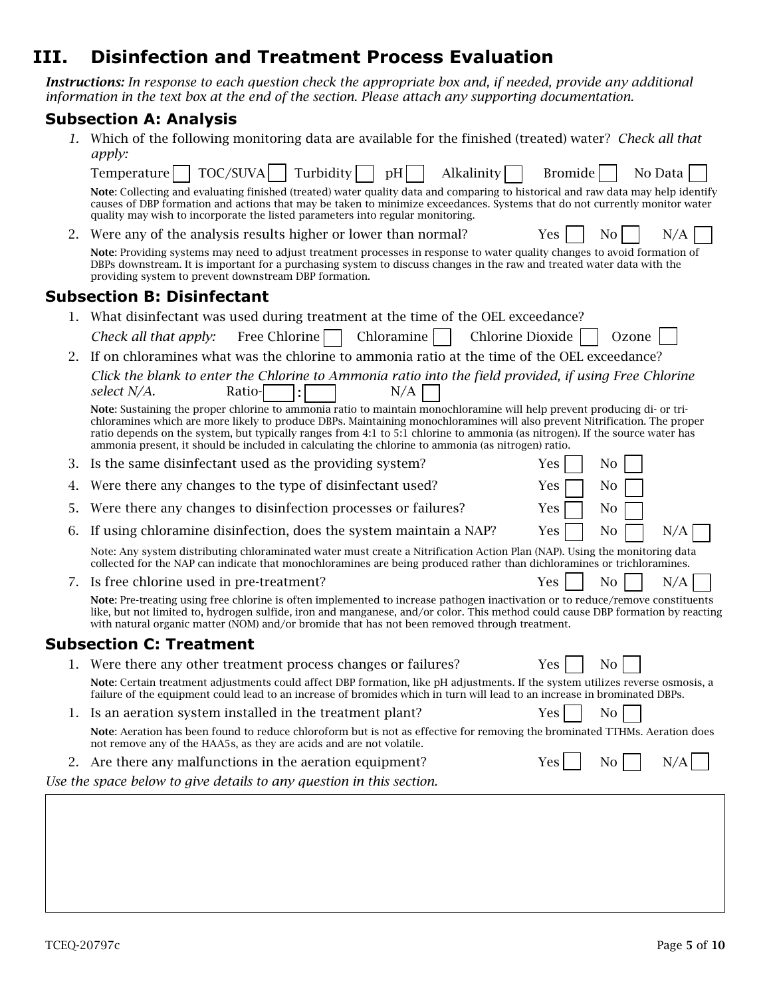## **III. Disinfection and Treatment Process Evaluation**

*Instructions: In response to each question check the appropriate box and, if needed, provide any additional information in the text box at the end of the section. Please attach any supporting documentation.* 

#### **Subsection A: Analysis**

*1.* Which of the following monitoring data are available for the finished (treated) water? *Check all that apply:*

|    | TOC/SUVA<br>Turbidity<br>Alkalinity<br>Temperature    <br>pH                                                                                                                                                                                                                                                                                                                                                                                                                                 | Bromide<br>No Data           |
|----|----------------------------------------------------------------------------------------------------------------------------------------------------------------------------------------------------------------------------------------------------------------------------------------------------------------------------------------------------------------------------------------------------------------------------------------------------------------------------------------------|------------------------------|
|    | Note: Collecting and evaluating finished (treated) water quality data and comparing to historical and raw data may help identify<br>causes of DBP formation and actions that may be taken to minimize exceedances. Systems that do not currently monitor water<br>quality may wish to incorporate the listed parameters into regular monitoring.                                                                                                                                             |                              |
| 2. | Were any of the analysis results higher or lower than normal?                                                                                                                                                                                                                                                                                                                                                                                                                                | No<br>N/A<br><b>Yes</b>      |
|    | Note: Providing systems may need to adjust treatment processes in response to water quality changes to avoid formation of<br>DBPs downstream. It is important for a purchasing system to discuss changes in the raw and treated water data with the<br>providing system to prevent downstream DBP formation.                                                                                                                                                                                 |                              |
|    | <b>Subsection B: Disinfectant</b>                                                                                                                                                                                                                                                                                                                                                                                                                                                            |                              |
|    | What disinfectant was used during treatment at the time of the OEL exceedance?                                                                                                                                                                                                                                                                                                                                                                                                               |                              |
|    | Free Chlorine<br>Chloramine<br>Check all that apply:                                                                                                                                                                                                                                                                                                                                                                                                                                         | Chlorine Dioxide<br>Ozone    |
| 2. | If on chloramines what was the chlorine to ammonia ratio at the time of the OEL exceedance?                                                                                                                                                                                                                                                                                                                                                                                                  |                              |
|    | Click the blank to enter the Chlorine to Ammonia ratio into the field provided, if using Free Chlorine<br>select N/A.<br>Ratio-<br>N/A                                                                                                                                                                                                                                                                                                                                                       |                              |
|    | Note: Sustaining the proper chlorine to ammonia ratio to maintain monochloramine will help prevent producing di- or tri-<br>chloramines which are more likely to produce DBPs. Maintaining monochloramines will also prevent Nitrification. The proper<br>ratio depends on the system, but typically ranges from 4:1 to 5:1 chlorine to ammonia (as nitrogen). If the source water has<br>ammonia present, it should be included in calculating the chlorine to ammonia (as nitrogen) ratio. |                              |
| 3. | Is the same disinfectant used as the providing system?                                                                                                                                                                                                                                                                                                                                                                                                                                       | N <sub>0</sub><br>Yes        |
| 4. | Were there any changes to the type of disinfectant used?                                                                                                                                                                                                                                                                                                                                                                                                                                     | No<br>Yes                    |
| 5. | Were there any changes to disinfection processes or failures?                                                                                                                                                                                                                                                                                                                                                                                                                                | Yes<br>No                    |
| 6. | If using chloramine disinfection, does the system maintain a NAP?                                                                                                                                                                                                                                                                                                                                                                                                                            | Yes<br>N <sub>0</sub><br>N/A |
|    | Note: Any system distributing chloraminated water must create a Nitrification Action Plan (NAP). Using the monitoring data<br>collected for the NAP can indicate that monochloramines are being produced rather than dichloramines or trichloramines.                                                                                                                                                                                                                                        |                              |
| 7. | Is free chlorine used in pre-treatment?                                                                                                                                                                                                                                                                                                                                                                                                                                                      | Yes<br>N <sub>0</sub><br>N/A |
|    | Note: Pre-treating using free chlorine is often implemented to increase pathogen inactivation or to reduce/remove constituents<br>like, but not limited to, hydrogen sulfide, iron and manganese, and/or color. This method could cause DBP formation by reacting<br>with natural organic matter (NOM) and/or bromide that has not been removed through treatment.                                                                                                                           |                              |
|    | <b>Subsection C: Treatment</b>                                                                                                                                                                                                                                                                                                                                                                                                                                                               |                              |
|    | Were there any other treatment process changes or failures?                                                                                                                                                                                                                                                                                                                                                                                                                                  | Yes<br>No                    |
|    | Note: Certain treatment adjustments could affect DBP formation, like pH adjustments. If the system utilizes reverse osmosis, a<br>failure of the equipment could lead to an increase of bromides which in turn will lead to an increase in brominated DBPs.                                                                                                                                                                                                                                  |                              |
|    | 1. Is an aeration system installed in the treatment plant?                                                                                                                                                                                                                                                                                                                                                                                                                                   | Yes<br>N <sub>0</sub>        |
|    | Note: Aeration has been found to reduce chloroform but is not as effective for removing the brominated TTHMs. Aeration does<br>not remove any of the HAA5s, as they are acids and are not volatile.                                                                                                                                                                                                                                                                                          |                              |
| 2. | Are there any malfunctions in the aeration equipment?                                                                                                                                                                                                                                                                                                                                                                                                                                        | N/A<br>Yes  <br>No           |
|    | Use the space below to give details to any question in this section.                                                                                                                                                                                                                                                                                                                                                                                                                         |                              |
|    |                                                                                                                                                                                                                                                                                                                                                                                                                                                                                              |                              |
|    |                                                                                                                                                                                                                                                                                                                                                                                                                                                                                              |                              |
|    |                                                                                                                                                                                                                                                                                                                                                                                                                                                                                              |                              |
|    |                                                                                                                                                                                                                                                                                                                                                                                                                                                                                              |                              |
|    |                                                                                                                                                                                                                                                                                                                                                                                                                                                                                              |                              |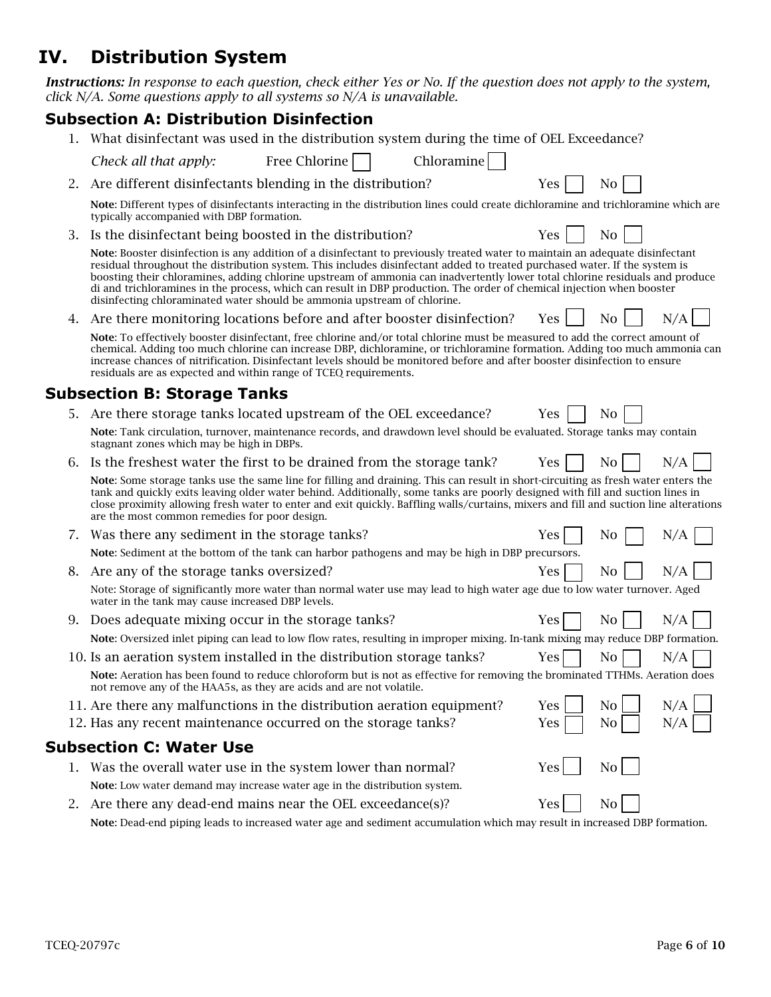## **IV. Distribution System**

*Instructions: In response to each question, check either Yes or No. If the question does not apply to the system, click N/A. Some questions apply to all systems so N/A is unavailable.*

### **Subsection A: Distribution Disinfection**

- 1. What disinfectant was used in the distribution system during the time of OEL Exceedance?
- *Check all that apply:* Free Chlorine  $\vert$  | Chloramine 2. Are different disinfectants blending in the distribution?  $Yes \mid No$ Note: Different types of disinfectants interacting in the distribution lines could create dichloramine and trichloramine which are typically accompanied with DBP formation. 3. Is the disinfectant being boosted in the distribution?  $Yes \mid \cdot \cdot \cdot$ Note: Booster disinfection is any addition of a disinfectant to previously treated water to maintain an adequate disinfectant
	- residual throughout the distribution system. This includes disinfectant added to treated purchased water. If the system is boosting their chloramines, adding chlorine upstream of ammonia can inadvertently lower total chlorine residuals and produce di and trichloramines in the process, which can result in DBP production. The order of chemical injection when booster disinfecting chloraminated water should be ammonia upstream of chlorine.
- 4. Are there monitoring locations before and after booster disinfection? Yes  $\parallel$  No  $\parallel$  N/A

Note: To effectively booster disinfectant, free chlorine and/or total chlorine must be measured to add the correct amount of chemical. Adding too much chlorine can increase DBP, dichloramine, or trichloramine formation. Adding too much ammonia can increase chances of nitrification. Disinfectant levels should be monitored before and after booster disinfection to ensure residuals are as expected and within range of TCEQ requirements.

### **Subsection B: Storage Tanks**

- 5. Are there storage tanks located upstream of the OEL exceedance?  $Y$ es  $\begin{array}{|c|c|c|c|c|c|} \hline \end{array}$  No Note: Tank circulation, turnover, maintenance records, and drawdown level should be evaluated. Storage tanks may contain stagnant zones which may be high in DBPs.
- 6. Is the freshest water the first to be drained from the storage tank? Yes No N/A

Note: Some storage tanks use the same line for filling and draining. This can result in short-circuiting as fresh water enters the tank and quickly exits leaving older water behind. Additionally, some tanks are poorly designed with fill and suction lines in close proximity allowing fresh water to enter and exit quickly. Baffling walls/curtains, mixers and fill and suction line alterations are the most common remedies for poor design.

- 7. Was there any sediment in the storage tanks?  $Yes \mid No \mid N/A$ Note: Sediment at the bottom of the tank can harbor pathogens and may be high in DBP precursors. 8. Are any of the storage tanks oversized?  $Yes \mid No \mid N/A$ Note: Storage of significantly more water than normal water use may lead to high water age due to low water turnover. Aged water in the tank may cause increased DBP levels.
- 9. Does adequate mixing occur in the storage tanks?  $Yes \mid No \mid N/A$ Note: Oversized inlet piping can lead to low flow rates, resulting in improper mixing. In-tank mixing may reduce DBP formation.
- 10. Is an aeration system installed in the distribution storage tanks? Yes  $|$  No  $|$  N/A Note: Aeration has been found to reduce chloroform but is not as effective for removing the brominated TTHMs. Aeration does not remove any of the HAA5s, as they are acids and are not volatile.
- 11. Are there any malfunctions in the distribution aeration equipment? Yes  $\begin{array}{|c|c|} \hline \end{array}$  No

| 12. Has any recent maintenance occurred on the storage tanks? | $Yes \tN$ No $N/A$ |  |  |
|---------------------------------------------------------------|--------------------|--|--|
|---------------------------------------------------------------|--------------------|--|--|

## **Subsection C: Water Use**

- 1. Was the overall water use in the system lower than normal?  $Yes \mid No$ Note: Low water demand may increase water age in the distribution system.
- 2. Are there any dead-end mains near the OEL exceedance(s)? Yes No Note: Dead-end piping leads to increased water age and sediment accumulation which may result in increased DBP formation.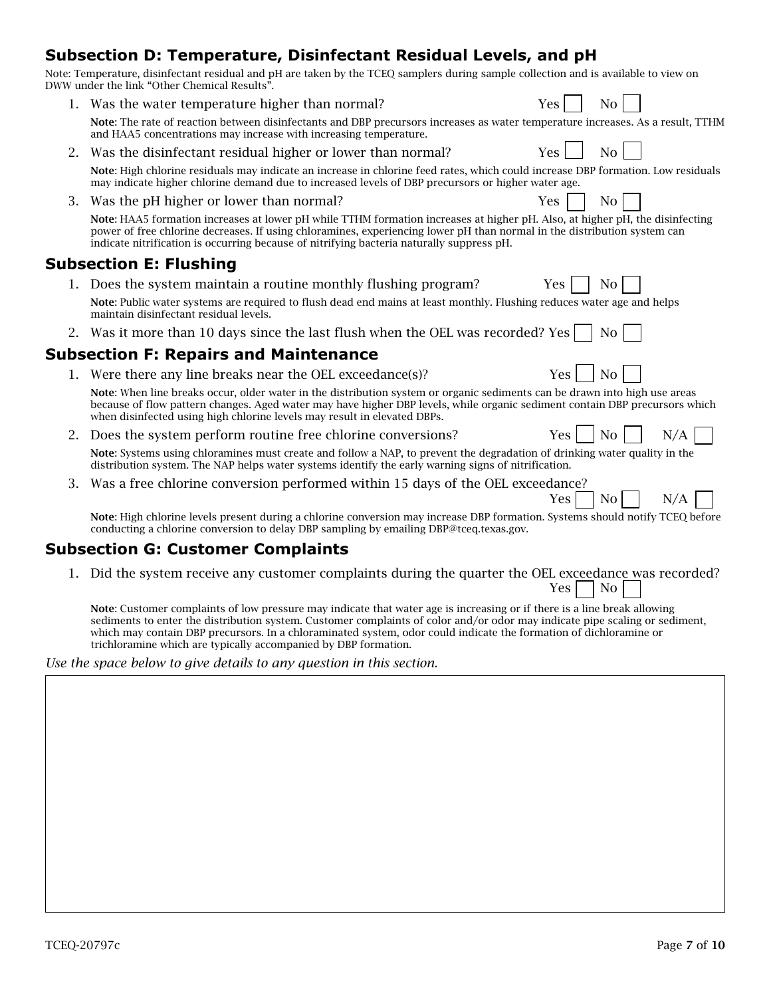## **Subsection D: Temperature, Disinfectant Residual Levels, and pH**

| Note: Temperature, disinfectant residual and pH are taken by the TCEQ samplers during sample collection and is available to view on |  |  |  |
|-------------------------------------------------------------------------------------------------------------------------------------|--|--|--|
| DWW under the link "Other Chemical Results".                                                                                        |  |  |  |
|                                                                                                                                     |  |  |  |

- 1. Was the water temperature higher than normal?  $Yes \mid No \mid$ Note: The rate of reaction between disinfectants and DBP precursors increases as water temperature increases. As a result, TTHM and HAA5 concentrations may increase with increasing temperature.
- 2. Was the disinfectant residual higher or lower than normal?  $Yes \mid No$ Note: High chlorine residuals may indicate an increase in chlorine feed rates, which could increase DBP formation. Low residuals may indicate higher chlorine demand due to increased levels of DBP precursors or higher water age.
- 3. Was the pH higher or lower than normal?  $\begin{array}{c|c}\n3. & \text{Was } \text{ } & \text{Yes } & \text{No} \\
\end{array}$

Note: HAA5 formation increases at lower pH while TTHM formation increases at higher pH. Also, at higher pH, the disinfecting power of free chlorine decreases. If using chloramines, experiencing lower pH than normal in the distribution system can indicate nitrification is occurring because of nitrifying bacteria naturally suppress pH.

#### **Subsection E: Flushing**

- 1. Does the system maintain a routine monthly flushing program?  $Yes$  No Note: Public water systems are required to flush dead end mains at least monthly. Flushing reduces water age and helps maintain disinfectant residual levels.
- 2. Was it more than 10 days since the last flush when the OEL was recorded? Yes  $\vert \cdot \vert$  No

#### **Subsection F: Repairs and Maintenance**

1. Were there any line breaks near the OEL exceedance(s)?  $Yes \mid \text{No}$ 

Note: When line breaks occur, older water in the distribution system or organic sediments can be drawn into high use areas because of flow pattern changes. Aged water may have higher DBP levels, while organic sediment contain DBP precursors which when disinfected using high chlorine levels may result in elevated DBPs.

2. Does the system perform routine free chlorine conversions?  $Yes \mid No \mid N_0 \mid N_1$ 

Note: Systems using chloramines must create and follow a NAP, to prevent the degradation of drinking water quality in the distribution system. The NAP helps water systems identify the early warning signs of nitrification.

3. Was a free chlorine conversion performed within 15 days of the OEL exceedance?

Note: High chlorine levels present during a chlorine conversion may increase DBP formation. Systems should notify TCEQ before conducting a chlorine conversion to delay DBP sampling by emailing DBP@tceq.texas.gov.

### **Subsection G: Customer Complaints**

1. Did the system receive any customer complaints during the quarter the OEL exceedance was recorded?

Note: Customer complaints of low pressure may indicate that water age is increasing or if there is a line break allowing sediments to enter the distribution system. Customer complaints of color and/or odor may indicate pipe scaling or sediment, which may contain DBP precursors. In a chloraminated system, odor could indicate the formation of dichloramine or trichloramine which are typically accompanied by DBP formation.

*Use the space below to give details to any question in this section.*

 $Yes \mid \neg \text{No} \mid \neg \text{N/A}$ 

 $Yes \mid \neg No$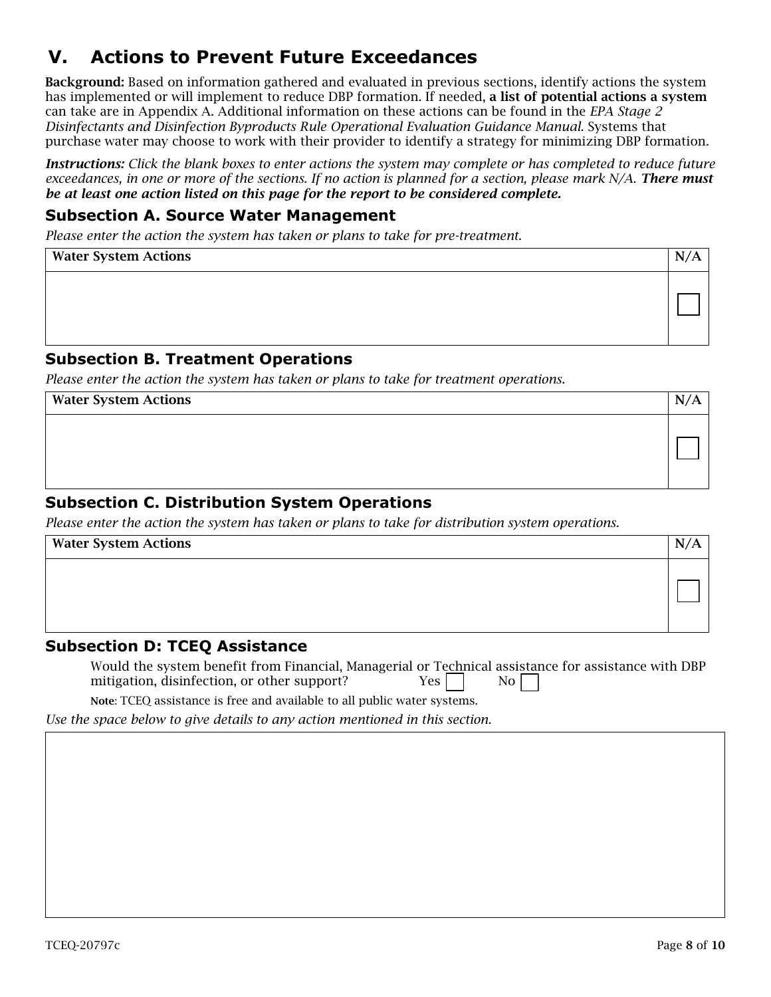# **V. Actions to Prevent Future Exceedances**

Background: Based on information gathered and evaluated in previous sections, identify actions the system has implemented or will implement to reduce DBP formation. If needed, a list of potential actions a system can take are in Appendix A. Additional information on these actions can be found in the *EPA Stage 2 Disinfectants and Disinfection Byproducts Rule Operational Evaluation Guidance Manual*. Systems that purchase water may choose to work with their provider to identify a strategy for minimizing DBP formation.

*Instructions: Click the blank boxes to enter actions the system may complete or has completed to reduce future exceedances, in one or more of the sections. If no action is planned for a section, please mark N/A. There must be at least one action listed on this page for the report to be considered complete.* 

#### **Subsection A. Source Water Management**

*Please enter the action the system has taken or plans to take for pre-treatment.*

| <b>Water System Actions</b> | $\mathbf N$ |
|-----------------------------|-------------|
|                             |             |

#### **Subsection B. Treatment Operations**

*Please enter the action the system has taken or plans to take for treatment operations.*

Water System Actions NACLES 2008 12:00 12:00 12:00 12:00 12:00 12:00 12:00 12:00 12:00 12:00 12:00 12:00 12:00 12:00 12:00 12:00 12:00 12:00 12:00 12:00 12:00 12:00 12:00 12:00 12:00 12:00 12:00 12:00 12:00 12:00 12:00 12:

### **Subsection C. Distribution System Operations**

*Please enter the action the system has taken or plans to take for distribution system operations.*

| <b>Water System Actions</b> |  |
|-----------------------------|--|
|                             |  |

#### **Subsection D: TCEQ Assistance**

Would the system benefit from Financial, Managerial or Technical assistance for assistance with DBP mitigation, disinfection, or other support?  $Yes$  | No

Note: TCEQ assistance is free and available to all public water systems.

*Use the space below to give details to any action mentioned in this section.*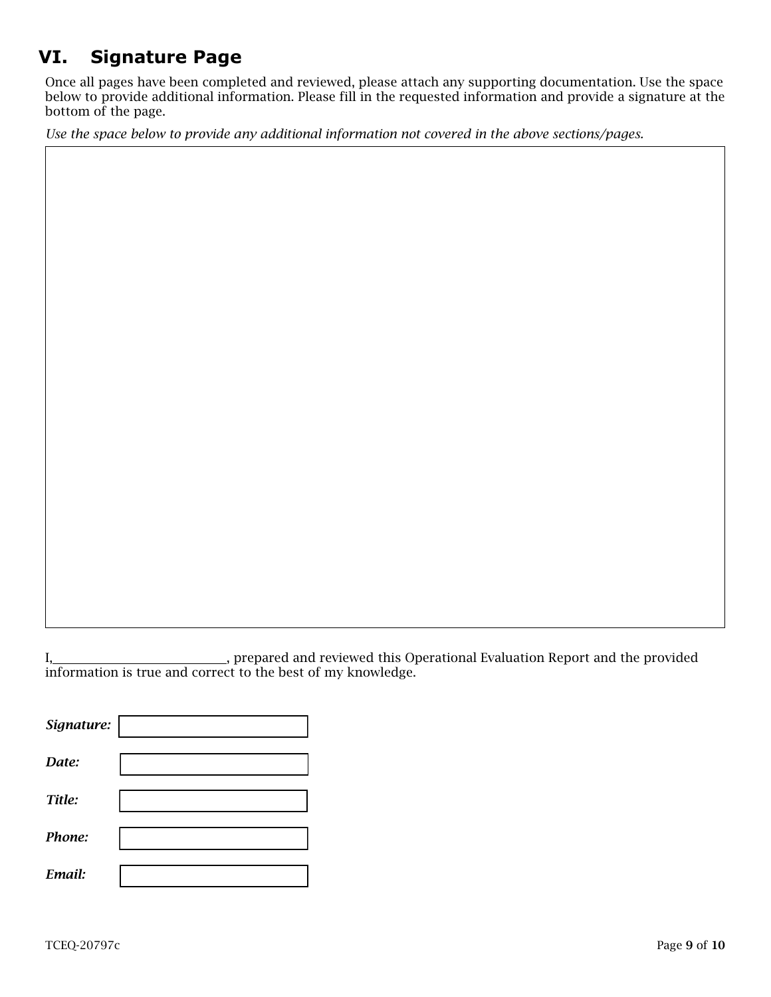# **VI. Signature Page**

Once all pages have been completed and reviewed, please attach any supporting documentation. Use the space below to provide additional information. Please fill in the requested information and provide a signature at the bottom of the page.

*Use the space below to provide any additional information not covered in the above sections/pages.*

I, 1. 2012 1. prepared and reviewed this Operational Evaluation Report and the provided information is true and correct to the best of my knowledge.

| Signature: |  |
|------------|--|
| Date:      |  |
| Title:     |  |
| Phone:     |  |
| Email:     |  |